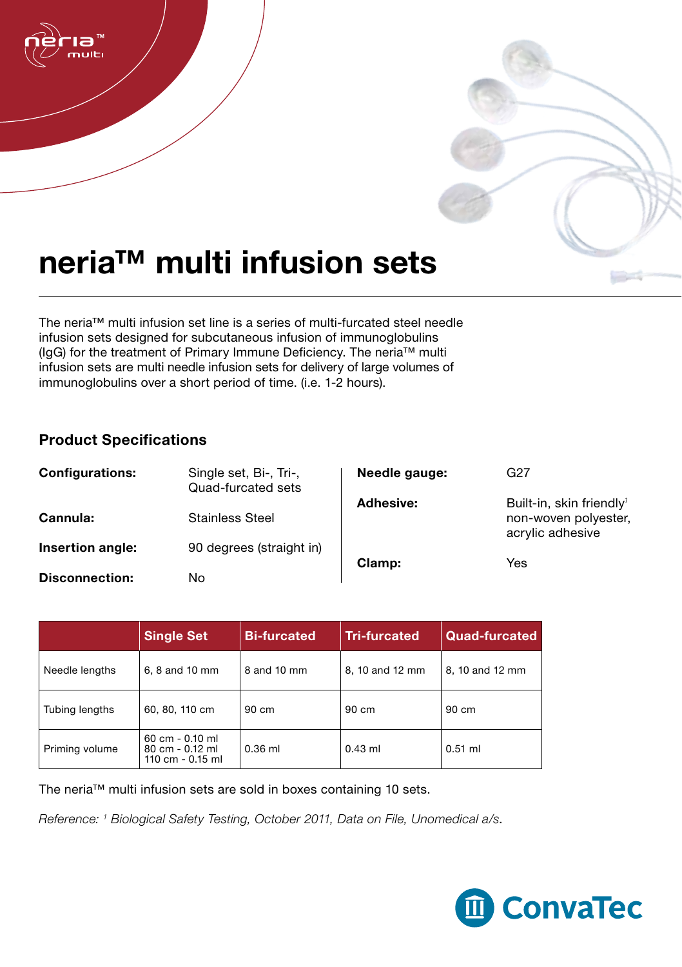

## neria™ multi infusion sets

The neria™ multi infusion set line is a series of multi-furcated steel needle infusion sets designed for subcutaneous infusion of immunoglobulins (IgG) for the treatment of Primary Immune Deficiency. The neria™ multi infusion sets are multi needle infusion sets for delivery of large volumes of immunoglobulins over a short period of time. (i.e. 1-2 hours).

## Product Specifications

| <b>Configurations:</b> | Single set, Bi-, Tri-,<br>Quad-furcated sets | Needle gauge: | G27                                                                              |
|------------------------|----------------------------------------------|---------------|----------------------------------------------------------------------------------|
| Cannula:               | <b>Stainless Steel</b>                       | Adhesive:     | Built-in, skin friendly <sup>1</sup><br>non-woven polyester,<br>acrylic adhesive |
| Insertion angle:       | 90 degrees (straight in)                     | Clamp:        | Yes                                                                              |
| <b>Disconnection:</b>  | No                                           |               |                                                                                  |

|                | <b>Single Set</b>                                                        | <b>Bi-furcated</b> | <b>Tri-furcated</b> | Quad-furcated   |
|----------------|--------------------------------------------------------------------------|--------------------|---------------------|-----------------|
| Needle lengths | 6, 8 and 10 mm                                                           | 8 and 10 mm        | 8, 10 and 12 mm     | 8, 10 and 12 mm |
| Tubing lengths | 60, 80, 110 cm                                                           | $90 \text{ cm}$    | 90 cm               | $90 \text{ cm}$ |
| Priming volume | $60 \text{ cm} - 0.10 \text{ ml}$<br>80 cm - 0.12 ml<br>110 cm - 0.15 ml | $0.36$ ml          | $0.43$ ml           | $0.51$ ml       |

The neria™ multi infusion sets are sold in boxes containing 10 sets.

*Reference: 1 Biological Safety Testing, October 2011, Data on File, Unomedical a/s*.